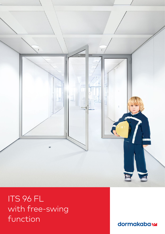

ITS 96 FL with free-swing function

dormakabaz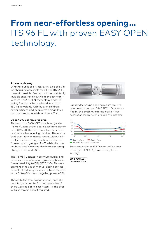# **From near-effortless opening …** ITS 96 FL with proven EASY OPEN technology.

#### **Access made easy.**

Whether public or private, every type of building should be accessible for all. The ITS 96 FL makes it possible. So compact that is virtually invisible once installed, this door closer can – with its EASY OPEN technology and freeswing function – be used on doors up to 180 kg in weight. With it, even children, senior citizens and people with disabilities can operate doors with minimal effort.

#### **Up to 40 % less force required.**

Thanks to its EASY OPEN technology, the ITS 96 FL cam-action door closer immediately cuts 40 % off the resistance that has to be overcome when opening the door. This means that even kids can access rooms without difficulty. The free-swing function is activated from an opening angle of > 0°, while the closing force is infinitely variable between spring strength EN 3 and EN 6.

The ITS 96 FL comes in premium quality and satisfies the requirements governing barrierfree accessibility to DIN SPEC 1104. This recommends the use of manual closing devices capable of reducing the opening force required in the 2° to 60° sweep range by approx. 40 %.

Thanks to the free-swing function, once the door is ajar it can be further opened as if there were no door closer fitted, i. e. the door will also remain open if required.



Rapidly decreasing opening resistance: The recommendation per DIN SPEC 1104 is satisfied by this system, offering barrier-free access for children, seniors and the disabled.



ITS 96 FL free-swing door closer

Force curves for an ITS 96 cam-action door closer (size EN 3 – 6, max. closing force setting)

**DIN SPEC 1104 December 2009**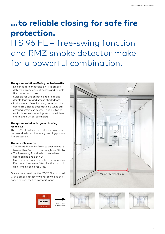## **… to reliable closing for safe fire protection.**

ITS 96 FL – free-swing function and RMZ smoke detector make for a powerful combination.

#### **The system solution offering double benefits.**

- Designed for connecting an RMZ smoke detector, giving ease of access and reliable fire protection in one.
- Suitable for use on both single-leaf and double-leaf fire and smoke check doors.
- In the event of smoke being detected, the door safely closes automatically while still offering effortless access – thanks to the rapid decrease in opening resistance inherent in EASY OPEN technology.

#### **The system solution for great planning reliability:**

The ITS 96 FL satisfies statutory requirements and standard specifications governing passive fire protection.

#### **The versatile solution.**

- The ITS 96 FL can be fitted to door leaves up to a width of 1400 mm and weights of 180 kg.
- The free-swing function is activated from a door opening angle of > 0°.
- Once ajar, the door can be further opened as if no door closer were fitted, i. e. the door will also remain open if required.

Once smoke develops, the ITS 96 FL combined with a smoke detector will reliably close the door and seal the fire compartment.









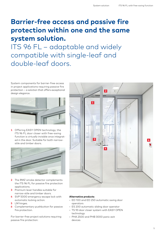### **Barrier-free access and passive fire protection within one and the same system solution.**

ITS 96 FL – adaptable and widely compatible with single-leaf and double-leaf doors.

System components for barrier-free access in project applications requiring passive fire protection – a solution that offers exceptional design elegance.



**1** Offering EASY OPEN technology, the ITS 96 FL door closer with free-swing function is virtually invisible once integrated in the door. Suitable for both narrowstile and timber doors.



- **2** The RMZ smoke detector complements the ITS 96 FL for passive fire protection applications.
- **3** Premium lever handles suitable for narrow-stile and timber doors.
- **4** SVP 5000 emergency escape lock with automatic locking action.
- **5** LM hinges.
- **6** Complementary pushbutton for passive fire protection.

For barrier-free project solutions requiring passive fire protection:



#### **Alternative products**

- ED 100 and ED 250 automatic swing door operators
- ES 200 automatic sliding door operator
- TS 93 door closer system with EASY OPEN technology
- PHA 2500 and PHB 3000 panic exit devices